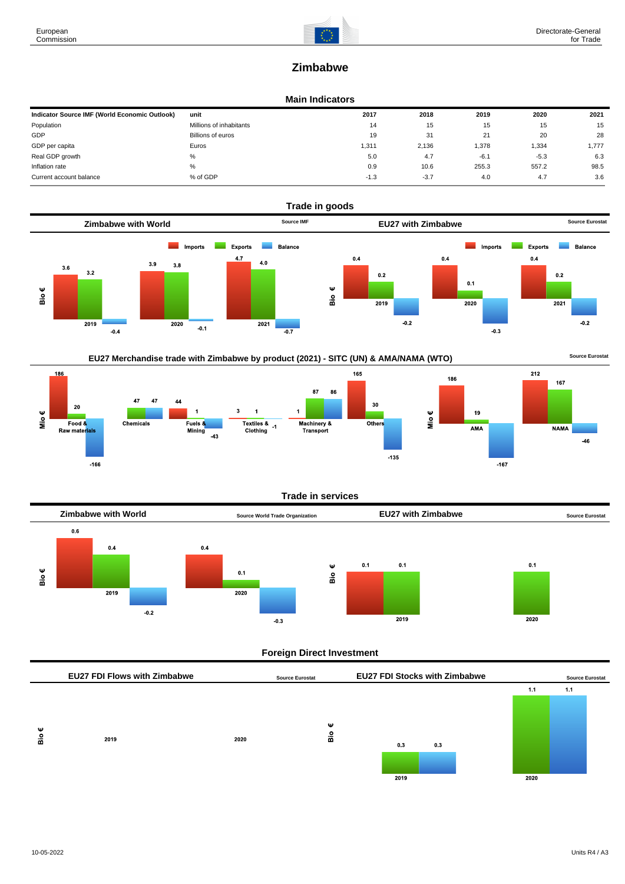

# **Zimbabwe**

### **Main Indicators**

| Indicator Source IMF (World Economic Outlook) | unit                    | 2017   | 2018   | 2019   | 2020   | 2021  |
|-----------------------------------------------|-------------------------|--------|--------|--------|--------|-------|
| Population                                    | Millions of inhabitants | 14     | 15     | 15     | 15     | 15    |
| GDP                                           | Billions of euros       | 19     | 31     | 21     | 20     | 28    |
| GDP per capita                                | Euros                   | 311,   | 2.136  | 1,378  | 1,334  | 1,777 |
| Real GDP growth                               | %                       | 5.0    | 4.7    | $-6.1$ | $-5.3$ | 6.3   |
| Inflation rate                                | %                       | 0.9    | 10.6   | 255.3  | 557.2  | 98.5  |
| Current account balance                       | % of GDP                | $-1.3$ | $-3.7$ | 4.0    | 4.7    | 3.6   |





### **Trade in services**



### **Foreign Direct Investment**

|          | <b>EU27 FDI Flows with Zimbabwe</b> |      | <b>Source Eurostat</b>  | <b>EU27 FDI Stocks with Zimbabwe</b> |      | <b>Source Eurostat</b> |
|----------|-------------------------------------|------|-------------------------|--------------------------------------|------|------------------------|
|          |                                     |      |                         |                                      | 1.1  | 1.1                    |
| Ψ<br>Bio | 2019                                | 2020 | ₩<br>$\frac{\circ}{10}$ | 0.3<br>0.3                           |      |                        |
|          |                                     |      |                         | 2019                                 | 2020 |                        |